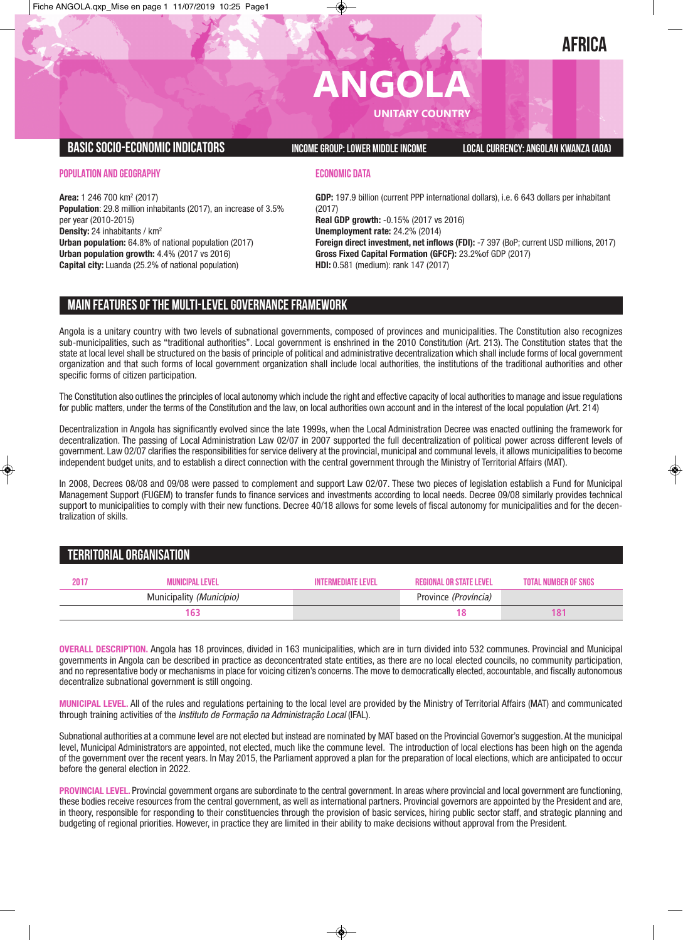# **AFRICA**

# **ANGOLA**

**UNITARY COUNTRY**

### **BASICSOCIO-ECONOMICINDICATORS INCOMEGROUP:LOWER MIDDLEINCOME LOCALCURRENCY: ANGOLAN KWANZA (AOA)**

#### **POPULATION AND GEOGRAPHY**

**ECONOMIC DATA**

**Area:** 1 246 700 km2 (2017) **Population**: 29.8 million inhabitants (2017), an increase of 3.5% per year (2010-2015) **Density:** 24 inhabitants / km<sup>2</sup> **Urban population:** 64.8% of national population (2017) **Urban population growth:** 4.4% (2017 vs 2016) **Capital city:** Luanda (25.2% of national population)

**GDP:** 197.9 billion (current PPP international dollars), i.e. 6 643 dollars per inhabitant (2017)

**Real GDP growth:** -0.15% (2017 vs 2016)

**Unemployment rate:** 24.2% (2014) **Foreign direct investment, net inflows (FDI):** -7 397 (BoP; current USD millions, 2017)

**Gross Fixed Capital Formation (GFCF):** 23.2%of GDP (2017) **HDI:** 0.581 (medium): rank 147 (2017)

**MAIN FEATURESOFTHE MULTI-LEVELGOVERNANCEFRAMEWORK**

Angola is a unitary country with two levels of subnational governments, composed of provinces and municipalities. The Constitution also recognizes sub-municipalities, such as "traditional authorities". Local government is enshrined in the 2010 Constitution (Art. 213). The Constitution states that the state at local level shall be structured on the basis of principle of political and administrative decentralization which shall include forms of local government organization and that such forms of local government organization shall include local authorities, the institutions of the traditional authorities and other specific forms of citizen participation.

The Constitution also outlines the principles of local autonomy which include the right and effective capacity of local authorities to manage and issue regulations for public matters, under the terms of the Constitution and the law, on local authorities own account and in the interest of the local population (Art. 214)

Decentralization in Angola has significantly evolved since the late 1999s, when the Local Administration Decree was enacted outlining the framework for decentralization. The passing of Local Administration Law 02/07 in 2007 supported the full decentralization of political power across different levels of government. Law 02/07 clarifies the responsibilities for service delivery at the provincial, municipal and communal levels, it allows municipalities to become independent budget units, and to establish a direct connection with the central government through the Ministry of Territorial Affairs (MAT).

In 2008, Decrees 08/08 and 09/08 were passed to complement and support Law 02/07. These two pieces of legislation establish a Fund for Municipal Management Support (FUGEM) to transfer funds to finance services and investments according to local needs. Decree 09/08 similarly provides technical support to municipalities to comply with their new functions. Decree 40/18 allows for some levels of fiscal autonomy for municipalities and for the decentralization of skills.

## **TERRITORIALORGANISATION**

| 2017 | <b>MUNICIPAL LEVEL</b>   | <b>INTERMEDIATE LEVEL</b> | REGIONAL OR STATE LEVEL | <b>TOTAL NUMBER OF SNGS</b> |
|------|--------------------------|---------------------------|-------------------------|-----------------------------|
|      | Municipality (Município) |                           | Province (Província)    |                             |
|      |                          |                           |                         | 18                          |

**OVERALL DESCRIPTION.** Angola has 18 provinces, divided in 163 municipalities, which are in turn divided into 532 communes. Provincial and Municipal governments in Angola can be described in practice as deconcentrated state entities, as there are no local elected councils, no community participation, and no representative body or mechanisms in place for voicing citizen's concerns. The move to democratically elected, accountable, and fiscally autonomous decentralize subnational government is still ongoing.

**MUNICIPAL LEVEL.** All of the rules and regulations pertaining to the local level are provided by the Ministry of Territorial Affairs (MAT) and communicated through training activities of the *Instituto de Formação na Administração Local* (IFAL).

Subnational authorities at a commune level are not elected but instead are nominated by MAT based on the Provincial Governor's suggestion.At the municipal level, Municipal Administrators are appointed, not elected, much like the commune level. The introduction of local elections has been high on the agenda of the government over the recent years. In May 2015, the Parliament approved a plan for the preparation of local elections, which are anticipated to occur before the general election in 2022.

**PROVINCIAL LEVEL.** Provincial government organs are subordinate to the central government. In areas where provincial and local government are functioning, these bodies receive resources from the central government, as well as international partners. Provincial governors are appointed by the President and are, in theory, responsible for responding to their constituencies through the provision of basic services, hiring public sector staff, and strategic planning and budgeting of regional priorities. However, in practice they are limited in their ability to make decisions without approval from the President.

 $\bigcirc$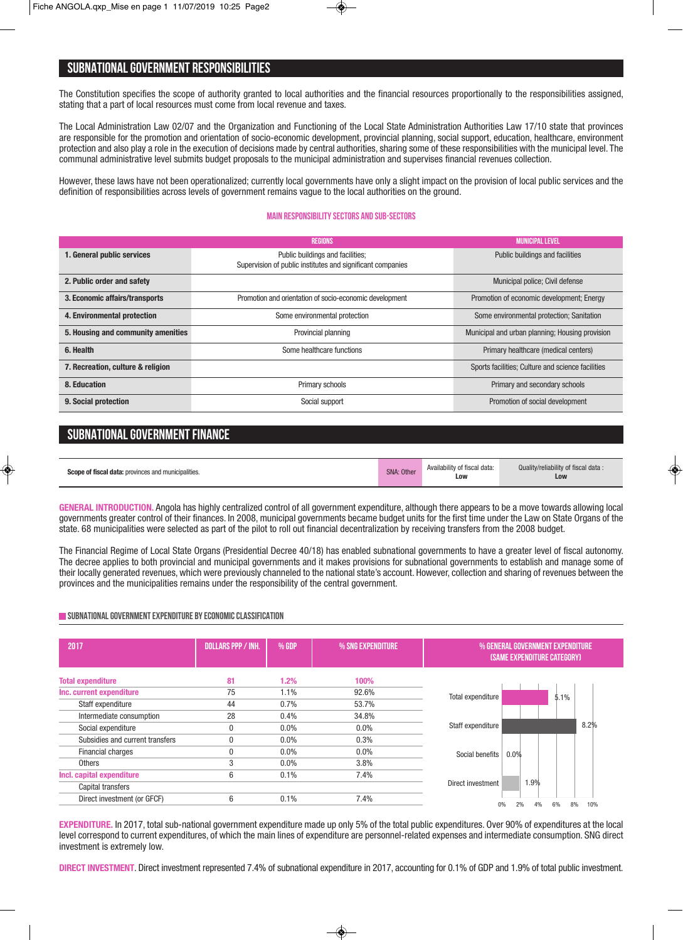# **SUBNATIONALGOVERNMENT RESPONSIBILITIES**

The Constitution specifies the scope of authority granted to local authorities and the financial resources proportionally to the responsibilities assigned, stating that a part of local resources must come from local revenue and taxes.

The Local Administration Law 02/07 and the Organization and Functioning of the Local State Administration Authorities Law 17/10 state that provinces are responsible for the promotion and orientation of socio-economic development, provincial planning, social support, education, healthcare, environment protection and also play a role in the execution of decisions made by central authorities, sharing some of these responsibilities with the municipal level. The communal administrative level submits budget proposals to the municipal administration and supervises financial revenues collection.

However, these laws have not been operationalized; currently local governments have only a slight impact on the provision of local public services and the definition of responsibilities across levels of government remains vague to the local authorities on the ground.

#### **Main responsibilitysectors and sub-sectors**

|                                    | <b>REGIONS</b>                                                                                 | <b>MUNICIPAL LEVEL</b>                            |
|------------------------------------|------------------------------------------------------------------------------------------------|---------------------------------------------------|
| 1. General public services         | Public buildings and facilities;<br>Supervision of public institutes and significant companies | Public buildings and facilities                   |
| 2. Public order and safety         |                                                                                                | Municipal police; Civil defense                   |
| 3. Economic affairs/transports     | Promotion and orientation of socio-economic development                                        | Promotion of economic development; Energy         |
| 4. Environmental protection        | Some environmental protection                                                                  | Some environmental protection; Sanitation         |
| 5. Housing and community amenities | Provincial planning                                                                            | Municipal and urban planning; Housing provision   |
| 6. Health                          | Some healthcare functions                                                                      | Primary healthcare (medical centers)              |
| 7. Recreation, culture & religion  |                                                                                                | Sports facilities; Culture and science facilities |
| 8. Education                       | Primary schools                                                                                | Primary and secondary schools                     |
| 9. Social protection               | Social support                                                                                 | Promotion of social development                   |

# **SUBNATIONAL GOVERNMENT FINANCE**

| <b>Scope of fiscal data:</b> provinces and municipalities. | SNA: Other | Availability of fiscal data:<br>Low | Quality/reliability of fiscal data:<br>Low |
|------------------------------------------------------------|------------|-------------------------------------|--------------------------------------------|
|------------------------------------------------------------|------------|-------------------------------------|--------------------------------------------|

**GENERAL INTRODUCTION.** Angola has highly centralized control of all government expenditure, although there appears to be a move towards allowing local governments greater control of their finances. In 2008, municipal governments became budget units for the first time under the Law on State Organs of the state. 68 municipalities were selected as part of the pilot to roll out financial decentralization by receiving transfers from the 2008 budget.

The Financial Regime of Local State Organs (Presidential Decree 40/18) has enabled subnational governments to have a greater level of fiscal autonomy. The decree applies to both provincial and municipal governments and it makes provisions for subnational governments to establish and manage some of their locally generated revenues, which were previously channeled to the national state's account. However, collection and sharing of revenues between the provinces and the municipalities remains under the responsibility of the central government.

#### **SUBNATIONAL GOVERNMENT EXPENDITURE BY ECONOMIC CLASSIFICATION**

| 2017                            | <b>DOLLARS PPP / INH.</b> | % GDP   | % SNG EXPENDITURE | % GENERAL GOVERNMENT EXPENDITURE<br><b>(SAME EXPENDITURE CATEGORY)</b> |
|---------------------------------|---------------------------|---------|-------------------|------------------------------------------------------------------------|
| <b>Total expenditure</b>        | 81                        | 1.2%    | 100%              |                                                                        |
| Inc. current expenditure        | 75                        | $1.1\%$ | 92.6%             | Total expenditure<br>5.1%                                              |
| Staff expenditure               | 44                        | 0.7%    | 53.7%             |                                                                        |
| Intermediate consumption        | 28                        | 0.4%    | 34.8%             |                                                                        |
| Social expenditure              | 0                         | $0.0\%$ | $0.0\%$           | 8.2%<br>Staff expenditure                                              |
| Subsidies and current transfers |                           | $0.0\%$ | 0.3%              |                                                                        |
| Financial charges               |                           | $0.0\%$ | $0.0\%$           | 0.0%<br>Social benefits                                                |
| <b>Others</b>                   | 3                         | $0.0\%$ | 3.8%              |                                                                        |
| Incl. capital expenditure       | 6                         | 0.1%    | 7.4%              |                                                                        |
| Capital transfers               |                           |         |                   | 1.9%<br>Direct investment                                              |
| Direct investment (or GFCF)     | 6                         | 0.1%    | 7.4%              | 6%<br>8%<br>10%<br>2%<br>4%<br>0%                                      |
|                                 |                           |         |                   |                                                                        |

**EXPENDITURE.** In 2017, total sub-national government expenditure made up only 5% of the total public expenditures. Over 90% of expenditures at the local level correspond to current expenditures, of which the main lines of expenditure are personnel-related expenses and intermediate consumption. SNG direct investment is extremely low.

**DIRECT INVESTMENT**. Direct investment represented 7.4% of subnational expenditure in 2017, accounting for 0.1% of GDP and 1.9% of total public investment.

◈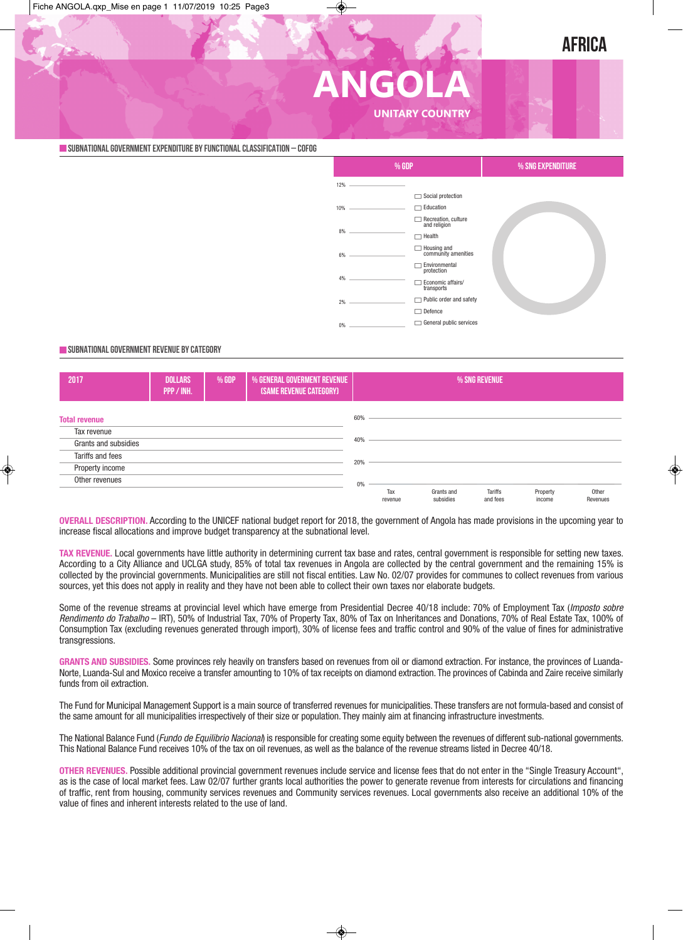# **AFRICA**

# **ANGOLA UNITARY COUNTRY**

**SUBNATIONALGOVERNMENTEXPENDITURE BYFUNCTIONALCLASSIFICATION – COFOG**

|            | % GDP                                                                                                                                                                                                                       |                                     | % SNG EXPENDITURE |  |
|------------|-----------------------------------------------------------------------------------------------------------------------------------------------------------------------------------------------------------------------------|-------------------------------------|-------------------|--|
| $12\%$ $-$ | the control of the control of the con-                                                                                                                                                                                      |                                     |                   |  |
|            |                                                                                                                                                                                                                             | Social protection                   |                   |  |
|            | $10\%$ $\qquad$                                                                                                                                                                                                             | Education                           |                   |  |
|            |                                                                                                                                                                                                                             | Recreation, culture<br>and religion |                   |  |
| $8\%$ $-$  |                                                                                                                                                                                                                             | Health                              |                   |  |
|            | $6\%$ $\qquad$                                                                                                                                                                                                              | Housing and<br>community amenities  |                   |  |
|            |                                                                                                                                                                                                                             | Environmental<br>protection         |                   |  |
|            | $4\%$ and $4\%$ and $4\%$ and $4\%$ and $4\%$ and $4\%$ and $4\%$ and $4\%$ and $4\%$ and $4\%$ and $4\%$ and $4\%$ and $4\%$ and $4\%$ and $4\%$ and $4\%$ and $4\%$ and $4\%$ and $4\%$ and $4\%$ and $4\%$ and $4\%$ and | Economic affairs/<br>transports     |                   |  |
|            | $2\%$ $\qquad$                                                                                                                                                                                                              | Public order and safety             |                   |  |
|            |                                                                                                                                                                                                                             | Defence                             |                   |  |
| 0%         |                                                                                                                                                                                                                             | General public services             |                   |  |

#### **SUBNATIONALGOVERNMENT REVENUE BYCATEGORY**



**OVERALL DESCRIPTION.** According to the UNICEF national budget report for 2018, the government of Angola has made provisions in the upcoming year to increase fiscal allocations and improve budget transparency at the subnational level.

TAX REVENUE. Local governments have little authority in determining current tax base and rates, central government is responsible for setting new taxes. According to a City Alliance and UCLGA study, 85% of total tax revenues in Angola are collected by the central government and the remaining 15% is collected by the provincial governments. Municipalities are still not fiscal entities. Law No. 02/07 provides for communes to collect revenues from various sources, yet this does not apply in reality and they have not been able to collect their own taxes nor elaborate budgets.

Some of the revenue streams at provincial level which have emerge from Presidential Decree 40/18 include: 70% of Employment Tax (*Imposto sobre Rendimento do Trabalho* – IRT), 50% of Industrial Tax, 70% of Property Tax, 80% of Tax on Inheritances and Donations, 70% of Real Estate Tax, 100% of Consumption Tax (excluding revenues generated through import), 30% of license fees and traffic control and 90% of the value of fines for administrative transgressions.

**GRANTS AND SUBSIDIES.** Some provinces rely heavily on transfers based on revenues from oil or diamond extraction. For instance, the provinces of Luanda-Norte, Luanda-Sul and Moxico receive a transfer amounting to 10% of tax receipts on diamond extraction. The provinces of Cabinda and Zaire receive similarly funds from oil extraction.

The Fund for Municipal Management Support is a main source of transferred revenues for municipalities. These transfers are not formula-based and consist of the same amount for all municipalities irrespectively of their size or population. They mainly aim at financing infrastructure investments.

The National Balance Fund (*Fundo de Equilibrio Nacional*) is responsible for creating some equity between the revenues of different sub-national governments. This National Balance Fund receives 10% of the tax on oil revenues, as well as the balance of the revenue streams listed in Decree 40/18.

**OTHER REVENUES.** Possible additional provincial government revenues include service and license fees that do not enter in the "Single Treasury Account", as is the case of local market fees. Law 02/07 further grants local authorities the power to generate revenue from interests for circulations and financing of traffic, rent from housing, community services revenues and Community services revenues. Local governments also receive an additional 10% of the value of fines and inherent interests related to the use of land.

◈